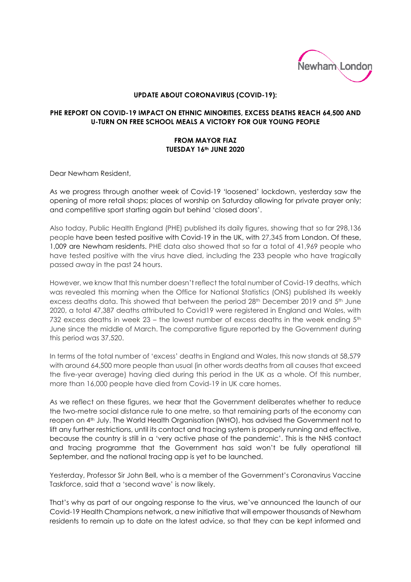

## **UPDATE ABOUT CORONAVIRUS (COVID-19):**

## **PHE REPORT ON COVID-19 IMPACT ON ETHNIC MINORITIES, EXCESS DEATHS REACH 64,500 AND U-TURN ON FREE SCHOOL MEALS A VICTORY FOR OUR YOUNG PEOPLE**

## **FROM MAYOR FIAZ TUESDAY 16th JUNE 2020**

Dear Newham Resident,

As we progress through another week of Covid-19 'loosened' lockdown, yesterday saw the opening of more retail shops; places of worship on Saturday allowing for private prayer only; and competitive sport starting again but behind 'closed doors'.

Also today, Public Health England (PHE) published its daily figures, showing that so far 298,136 people have been tested positive with Covid-19 in the UK, with 27,345 from London. Of these, 1,009 are Newham residents. PHE data also showed that so far a total of 41,969 people who have tested positive with the virus have died, including the 233 people who have tragically passed away in the past 24 hours.

However, we know that this number doesn't reflect the total number of Covid-19 deaths, which was revealed this morning when the Office for National Statistics (ONS) published its weekly excess deaths data. This showed that between the period 28<sup>th</sup> December 2019 and 5<sup>th</sup> June 2020, a total 47,387 deaths attributed to Covid19 were registered in England and Wales, with 732 excess deaths in week 23 – the lowest number of excess deaths in the week ending  $5<sup>th</sup>$ June since the middle of March. The comparative figure reported by the Government during this period was 37,520.

In terms of the total number of 'excess' deaths in England and Wales, this now stands at 58,579 with around 64,500 more people than usual (in other words deaths from all causes that exceed the five-year average) having died during this period in the UK as a whole. Of this number, more than 16,000 people have died from Covid-19 in UK care homes.

As we reflect on these figures, we hear that the Government deliberates whether to reduce the two-metre social distance rule to one metre, so that remaining parts of the economy can reopen on 4th July. The World Health Organisation (WHO), has advised the Government not to lift any further restrictions, until its contact and tracing system is properly running and effective, because the country is still in a 'very active phase of the pandemic'. This is the NHS contact and tracing programme that the Government has said won't be fully operational till September, and the national tracing app is yet to be launched.

Yesterday, Professor Sir John Bell, who is a member of the Government's Coronavirus Vaccine Taskforce, said that a 'second wave' is now likely.

That's why as part of our ongoing response to the virus, we've announced the launch of our Covid-19 Health Champions network, a new initiative that will empower thousands of Newham residents to remain up to date on the latest advice, so that they can be kept informed and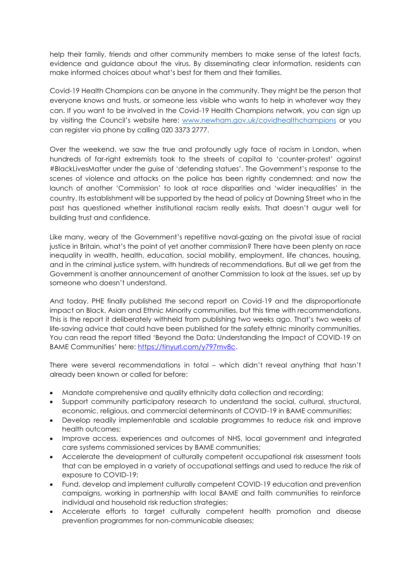help their family, friends and other community members to make sense of the latest facts, evidence and guidance about the virus. By disseminating clear information, residents can make informed choices about what's best for them and their families.

Covid-19 Health Champions can be anyone in the community. They might be the person that everyone knows and trusts, or someone less visible who wants to help in whatever way they can. If you want to be involved in the Covid-19 Health Champions network, you can sign up by visiting the Council's website here: [www.newham.gov.uk/covidhealthchampions](http://www.newham.gov.uk/covidhealthchampions) or you can register via phone by calling 020 3373 2777.

Over the weekend, we saw the true and profoundly ugly face of racism in London, when hundreds of far-right extremists took to the streets of capital to 'counter-protest' against #BlackLivesMatter under the guise of 'defending statues'. The Government's response to the scenes of violence and attacks on the police has been rightly condemned; and now the launch of another 'Commission' to look at race disparities and 'wider inequalities' in the country. Its establishment will be supported by the head of policy at Downing Street who in the past has questioned whether institutional racism really exists. That doesn't augur well for building trust and confidence.

Like many, weary of the Government's repetitive naval-gazing on the pivotal issue of racial justice in Britain, what's the point of yet another commission? There have been plenty on race inequality in wealth, health, education, social mobility, employment, life chances, housing, and in the criminal justice system, with hundreds of recommendations. But all we get from the Government is another announcement of another Commission to look at the issues, set up by someone who doesn't understand.

And today, PHE finally published the second report on Covid-19 and the disproportionate impact on Black, Asian and Ethnic Minority communities, but this time with recommendations. This is the report it deliberately withheld from publishing two weeks ago. That's two weeks of life-saving advice that could have been published for the safety ethnic minority communities. You can read the report titled 'Beyond the Data: Understanding the Impact of COVID-19 on BAME Communities' here: [https://tinyurl.com/y797mv8c.](https://tinyurl.com/y797mv8c)

There were several recommendations in total – which didn't reveal anything that hasn't already been known or called for before:

- Mandate comprehensive and quality ethnicity data collection and recording;
- Support community participatory research to understand the social, cultural, structural, economic, religious, and commercial determinants of COVID-19 in BAME communities;
- Develop readily implementable and scalable programmes to reduce risk and improve health outcomes;
- Improve access, experiences and outcomes of NHS, local government and integrated care systems commissioned services by BAME communities;
- Accelerate the development of culturally competent occupational risk assessment tools that can be employed in a variety of occupational settings and used to reduce the risk of exposure to COVID-19;
- Fund, develop and implement culturally competent COVID-19 education and prevention campaigns, working in partnership with local BAME and faith communities to reinforce individual and household risk reduction strategies;
- Accelerate efforts to target culturally competent health promotion and disease prevention programmes for non-communicable diseases;